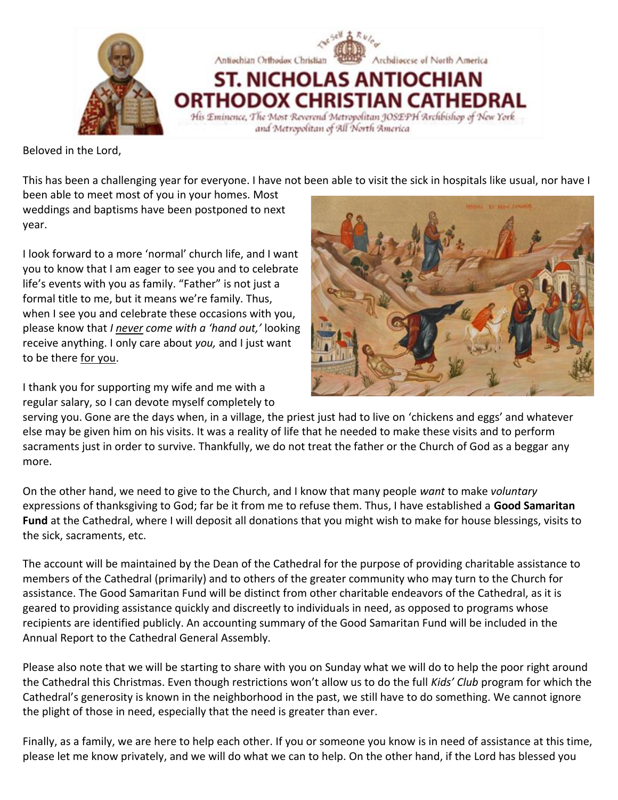

Beloved in the Lord,

This has been a challenging year for everyone. I have not been able to visit the sick in hospitals like usual, nor have I

been able to meet most of you in your homes. Most weddings and baptisms have been postponed to next year.

I look forward to a more 'normal' church life, and I want you to know that I am eager to see you and to celebrate life's events with you as family. "Father" is not just a formal title to me, but it means we're family. Thus, when I see you and celebrate these occasions with you, please know that *I never come with a 'hand out,'* looking receive anything. I only care about *you,* and I just want to be there for you.

I thank you for supporting my wife and me with a regular salary, so I can devote myself completely to



serving you. Gone are the days when, in a village, the priest just had to live on 'chickens and eggs' and whatever else may be given him on his visits. It was a reality of life that he needed to make these visits and to perform sacraments just in order to survive. Thankfully, we do not treat the father or the Church of God as a beggar any more.

On the other hand, we need to give to the Church, and I know that many people *want* to make *voluntary* expressions of thanksgiving to God; far be it from me to refuse them. Thus, I have established a **Good Samaritan Fund** at the Cathedral, where I will deposit all donations that you might wish to make for house blessings, visits to the sick, sacraments, etc.

The account will be maintained by the Dean of the Cathedral for the purpose of providing charitable assistance to members of the Cathedral (primarily) and to others of the greater community who may turn to the Church for assistance. The Good Samaritan Fund will be distinct from other charitable endeavors of the Cathedral, as it is geared to providing assistance quickly and discreetly to individuals in need, as opposed to programs whose recipients are identified publicly. An accounting summary of the Good Samaritan Fund will be included in the Annual Report to the Cathedral General Assembly.

Please also note that we will be starting to share with you on Sunday what we will do to help the poor right around the Cathedral this Christmas. Even though restrictions won't allow us to do the full *Kids' Club* program for which the Cathedral's generosity is known in the neighborhood in the past, we still have to do something. We cannot ignore the plight of those in need, especially that the need is greater than ever.

Finally, as a family, we are here to help each other. If you or someone you know is in need of assistance at this time, please let me know privately, and we will do what we can to help. On the other hand, if the Lord has blessed you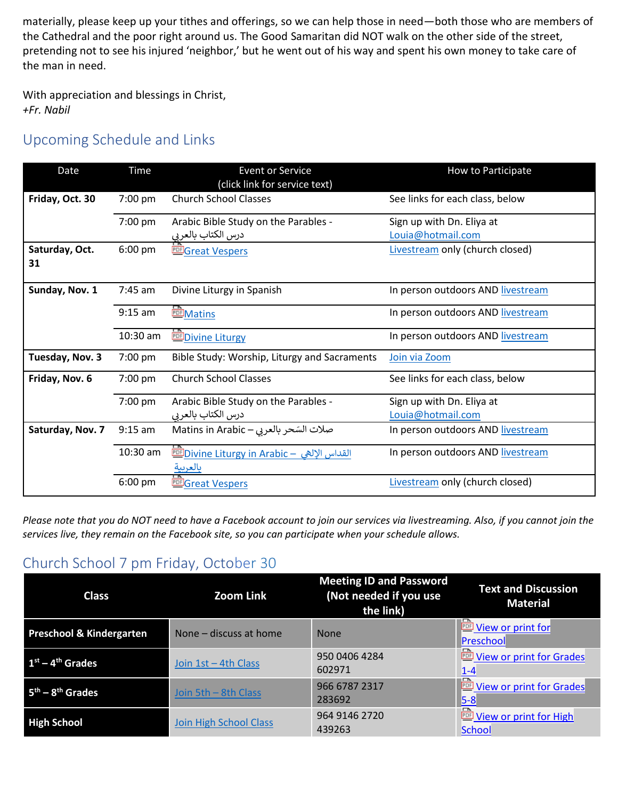materially, please keep up your tithes and offerings, so we can help those in need—both those who are members of the Cathedral and the poor right around us. The Good Samaritan did NOT walk on the other side of the street, pretending not to see his injured 'neighbor,' but he went out of his way and spent his own money to take care of the man in need.

With appreciation and blessings in Christ, *+Fr. Nabil*

# Upcoming Schedule and Links

| Date                 | <b>Time</b> | <b>Event or Service</b><br>(click link for service text)     | How to Participate                                     |
|----------------------|-------------|--------------------------------------------------------------|--------------------------------------------------------|
| Friday, Oct. 30      | 7:00 pm     | <b>Church School Classes</b>                                 | See links for each class, below                        |
|                      | 7:00 pm     | Arabic Bible Study on the Parables -<br>درس الكتاب بالعربي   | Sign up with Dn. Eliya at<br>Louia@hotmail.com         |
| Saturday, Oct.<br>31 | $6:00$ pm   | <b>EEGreat Vespers</b>                                       | Livestream only (church closed)                        |
| Sunday, Nov. 1       | $7:45$ am   | Divine Liturgy in Spanish                                    | In person outdoors AND livestream                      |
|                      | $9:15$ am   | <b>PDF</b> Matins                                            | In person outdoors AND livestream                      |
|                      | 10:30 am    | <b>EDE Divine Liturgy</b>                                    | In person outdoors AND livestream                      |
| Tuesday, Nov. 3      | 7:00 pm     | Bible Study: Worship, Liturgy and Sacraments                 | Join via Zoom                                          |
| Friday, Nov. 6       | 7:00 pm     | <b>Church School Classes</b>                                 | See links for each class, below                        |
|                      | 7:00 pm     | Arabic Bible Study on the Parables -                         | Sign up with Dn. Eliya at                              |
| Saturday, Nov. 7     | $9:15$ am   | درس الكتاب بالعربي<br>صلات السّحر بالعربي – Matins in Arabic | Louia@hotmail.com<br>In person outdoors AND livestream |
|                      |             |                                                              |                                                        |
|                      | 10:30 am    | <u> القداس الإلهي - Divine Liturgy in Arabic</u><br>بالعربية | In person outdoors AND livestream                      |
|                      | $6:00$ pm   | <b>ELE</b> Great Vespers                                     | Livestream only (church closed)                        |

*Please note that you do NOT need to have a Facebook account to join our services via livestreaming. Also, if you cannot join the services live, they remain on the Facebook site, so you can participate when your schedule allows.*

# Church School 7 pm Friday, October 30

| <b>Class</b>                        | <b>Zoom Link</b>              | <b>Meeting ID and Password</b><br>(Not needed if you use<br>the link) | <b>Text and Discussion</b><br><b>Material</b>      |
|-------------------------------------|-------------------------------|-----------------------------------------------------------------------|----------------------------------------------------|
| <b>Preschool &amp; Kindergarten</b> | None – discuss at home        | <b>None</b>                                                           | <b>Wiew or print for</b><br>Preschool              |
| $1st - 4th$ Grades                  | Join 1st - 4th Class          | 950 0406 4284<br>602971                                               | ∼<br><b>DE View or print for Grades</b><br>$1 - 4$ |
| $5th - 8th$ Grades                  | Join 5th – 8th Class          | 966 6787 2317<br>283692                                               | <b>Wiew or print for Grades</b><br>$5-8$           |
| <b>High School</b>                  | <b>Join High School Class</b> | 964 9146 2720<br>439263                                               | <b>THE View or print for High</b><br><b>School</b> |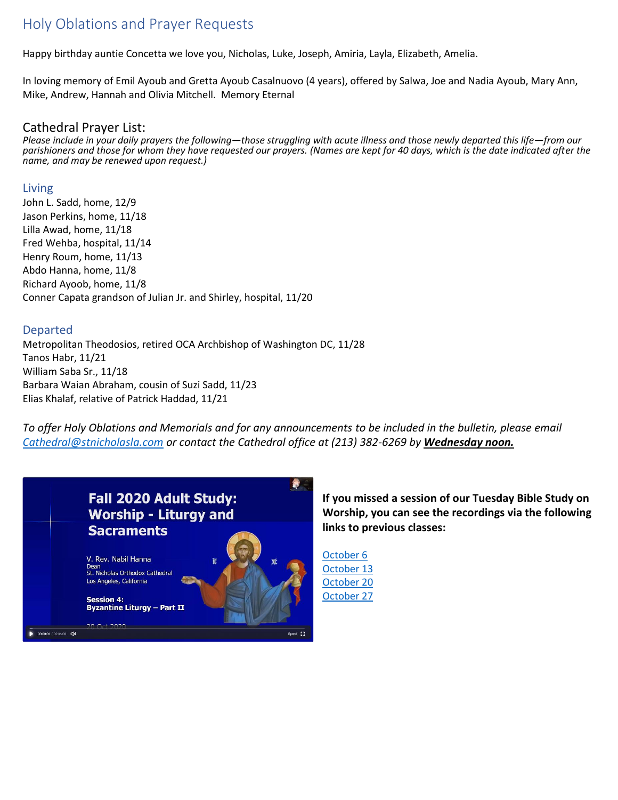# Holy Oblations and Prayer Requests

Happy birthday auntie Concetta we love you, Nicholas, Luke, Joseph, Amiria, Layla, Elizabeth, Amelia.

In loving memory of Emil Ayoub and Gretta Ayoub Casalnuovo (4 years), offered by Salwa, Joe and Nadia Ayoub, Mary Ann, Mike, Andrew, Hannah and Olivia Mitchell. Memory Eternal

### Cathedral Prayer List:

*Please include in your daily prayers the following—those struggling with acute illness and those newly departed this life—from our parishioners and those for whom they have requested our prayers. (Names are kept for 40 days, which is the date indicated after the name, and may be renewed upon request.)*

#### Living

John L. Sadd, home, 12/9 Jason Perkins, home, 11/18 Lilla Awad, home, 11/18 Fred Wehba, hospital, 11/14 Henry Roum, home, 11/13 Abdo Hanna, home, 11/8 Richard Ayoob, home, 11/8 Conner Capata grandson of Julian Jr. and Shirley, hospital, 11/20

#### Departed

Metropolitan Theodosios, retired OCA Archbishop of Washington DC, 11/28 Tanos Habr, 11/21 William Saba Sr., 11/18 Barbara Waian Abraham, cousin of Suzi Sadd, 11/23 Elias Khalaf, relative of Patrick Haddad, 11/21

*To offer Holy Oblations and Memorials and for any announcements to be included in the bulletin, please email [Cathedral@stnicholasla.com](mailto:Cathedral@stnicholasla.com) or contact the Cathedral office at (213) 382-6269 by Wednesday noon.*



**If you missed a session of our Tuesday Bible Study on Worship, you can see the recordings via the following links to previous classes:**

[October 6](https://zoom.us/rec/share/y_dR9jfMiEKqYYX9pEC_CRAKovcISFFVixK56C-FTI8ieymR1t4n4zpiahnqlUwN.qj8F01MqLLDqEL8G?startTime=1602036301000) [October 13](https://zoom.us/rec/share/IWhRz4916C9W5YsFwjpXAoCtBxUVHpXnVz7tQnLUekmRmtQqLy-ZRZdcwg2i1EPA.MgZdKjGAVmFpiZH0?startTime=1602640981000) [October 20](https://zoom.us/rec/share/Ir6QbtzL_rfH6k1GBxPJICB-u-2YLSQAsxH8Ae8NWzPf5LzYKw3KmfHBvq5TWZZm.Xa6t8Uq248R_TDUB?startTime=1603246570000) [October 27](https://zoom.us/rec/share/gvAhWalbA4tUQEtMnObNj6oDeH03PHp-N3zHMlhVo8RwsmZd9d5qLH-CrwMWjtIp.OxeMeRO2l6lB4DBu?startTime=1603850712000)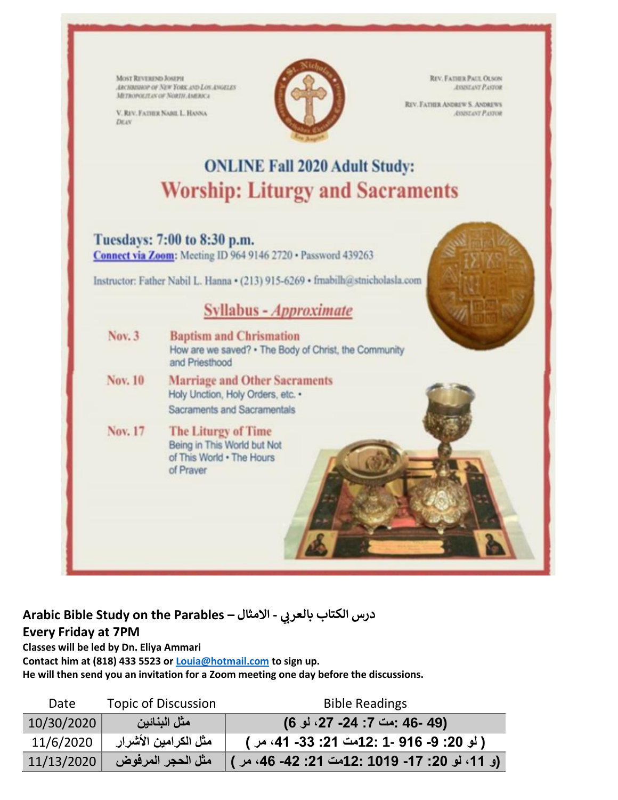MOST REVEREND JOSEPH ARCHIMISTOP OF NEW YORK AND LOS ANGELES METROPOLITAN OF NORTH AMERICA

V. RIV. FATIBE NARIL L. HANNA DEAN



**REV. FATHER PAUL OLSON** ASSISTANT PASTOR

REV. FATHER ANDREW S. ANDREWS **ASSISTANT PASTOR** 

# **ONLINE Fall 2020 Adult Study: Worship: Liturgy and Sacraments**

### Tuesdays: 7:00 to 8:30 p.m.

Connect via Zoom: Meeting ID 964 9146 2720 · Password 439263

Instructor: Father Nabil L. Hanna · (213) 915-6269 · frnabilh@stnicholasla.com

# Syllabus - Approximate

- Nov. 3 **Baptism and Chrismation** How are we saved? . The Body of Christ, the Community and Priesthood
- Nov. 10 **Marriage and Other Sacraments** Holy Unction, Holy Orders, etc. • Sacraments and Sacramentals
- Nov. 17 The Liturgy of Time Being in This World but Not of This World . The Hours of Prayer



# **Arabic Bible Study on the Parables – يب درس الكتاب بالعر - االمثال Every Friday at 7PM**

**Classes will be led by Dn. Eliya Ammari**

**Contact him at (818) 433 5523 or [Louia@hotmail.com](mailto:Louia@hotmail.com) to sign up.**

**He will then send you an invitation for a Zoom meeting one day before the discussions.**

| Date       | <b>Topic of Discussion</b> | <b>Bible Readings</b>                           |
|------------|----------------------------|-------------------------------------------------|
| 10/30/2020 | مثل البنائين               | (49 -46 :مت 7: 24- 27، لو 6)                    |
| 11/6/2020  | مثل الكرامين الأشرار       | ( لو 20: 9- 916 -1 :12مت 21: 33- 41، مر )       |
| 11/13/2020 | مثل الحجر المرفوض          | (و. 11، لو. 20: 17- 1019 :121 12: 42 -46، مر. ) |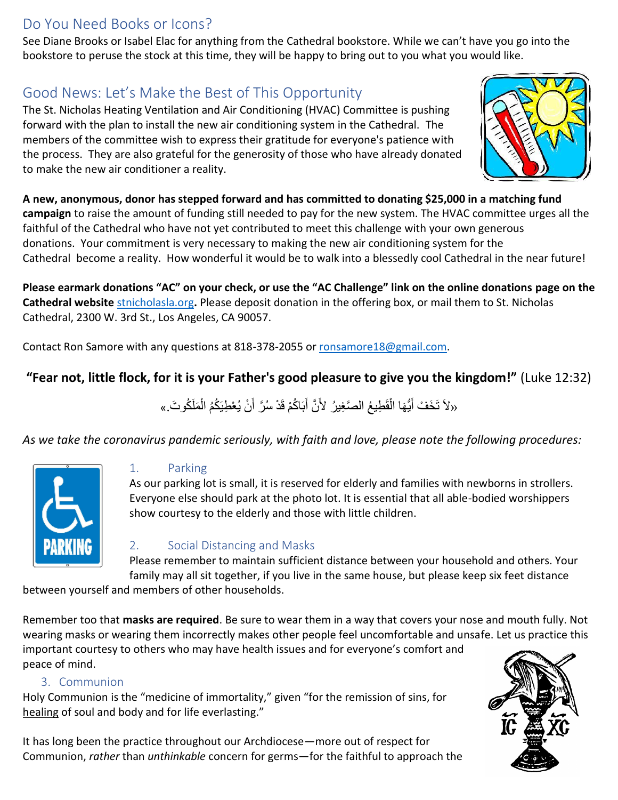# Do You Need Books or Icons?

See Diane Brooks or Isabel Elac for anything from the Cathedral bookstore. While we can't have you go into the bookstore to peruse the stock at this time, they will be happy to bring out to you what you would like.

# Good News: Let's Make the Best of This Opportunity

The St. Nicholas Heating Ventilation and Air Conditioning (HVAC) Committee is pushing forward with the plan to install the new air conditioning system in the Cathedral. The members of the committee wish to express their gratitude for everyone's patience with the process. They are also grateful for the generosity of those who have already donated to make the new air conditioner a reality.



**A new, anonymous, donor has stepped forward and has committed to donating \$25,000 in a matching fund campaign** to raise the amount of funding still needed to pay for the new system. The HVAC committee urges all the faithful of the Cathedral who have not yet contributed to meet this challenge with your own generous donations. Your commitment is very necessary to making the new air conditioning system for the Cathedral become a reality. How wonderful it would be to walk into a blessedly cool Cathedral in the near future!

**Please earmark donations "AC" on your check, or use the "AC Challenge" link on the online donations page on the Cathedral website** [stnicholasla.org](https://eur01.safelinks.protection.outlook.com/?url=http%3A%2F%2Fstnicholasla.org%2F&data=04%7C01%7C%7C5cc89342292b4eef81df08d87148a9dc%7C84df9e7fe9f640afb435aaaaaaaaaaaa%7C1%7C0%7C637383904238059415%7CUnknown%7CTWFpbGZsb3d8eyJWIjoiMC4wLjAwMDAiLCJQIjoiV2luMzIiLCJBTiI6Ik1haWwiLCJXVCI6Mn0%3D%7C1000&sdata=ZoVtqcWs0K4x0h766jPV%2FQbJKYNEjwB1mHYT%2BBbznnc%3D&reserved=0)**.** Please deposit donation in the offering box, or mail them to St. Nicholas Cathedral, 2300 W. 3rd St., Los Angeles, CA 90057.

Contact Ron Samore with any questions at 818-378-2055 or [ronsamore18@gmail.com.](mailto:ronsamore18@gmail.com)

### **"Fear not, little flock, for it is your Father's good pleasure to give you the kingdom!"** (Luke 12:32)

«لاَ تَخَفْ أَيُّهَا الْقَطِيعُ الصَّغِيرُ لأَنَّ أَبَاكُمْ قَدْ سُرَّ أَنْ يُعْطِيَكُمُ الْمَلَكُوتَ.» ْ َ َ ْ

*As we take the coronavirus pandemic seriously, with faith and love, please note the following procedures:*



### 1. Parking

As our parking lot is small, it is reserved for elderly and families with newborns in strollers. Everyone else should park at the photo lot. It is essential that all able-bodied worshippers show courtesy to the elderly and those with little children.

### 2. Social Distancing and Masks

Please remember to maintain sufficient distance between your household and others. Your family may all sit together, if you live in the same house, but please keep six feet distance

between yourself and members of other households.

Remember too that **masks are required**. Be sure to wear them in a way that covers your nose and mouth fully. Not wearing masks or wearing them incorrectly makes other people feel uncomfortable and unsafe. Let us practice this

important courtesy to others who may have health issues and for everyone's comfort and peace of mind.

#### 3. Communion

Holy Communion is the "medicine of immortality," given "for the remission of sins, for healing of soul and body and for life everlasting."

It has long been the practice throughout our Archdiocese—more out of respect for Communion, *rather* than *unthinkable* concern for germs—for the faithful to approach the

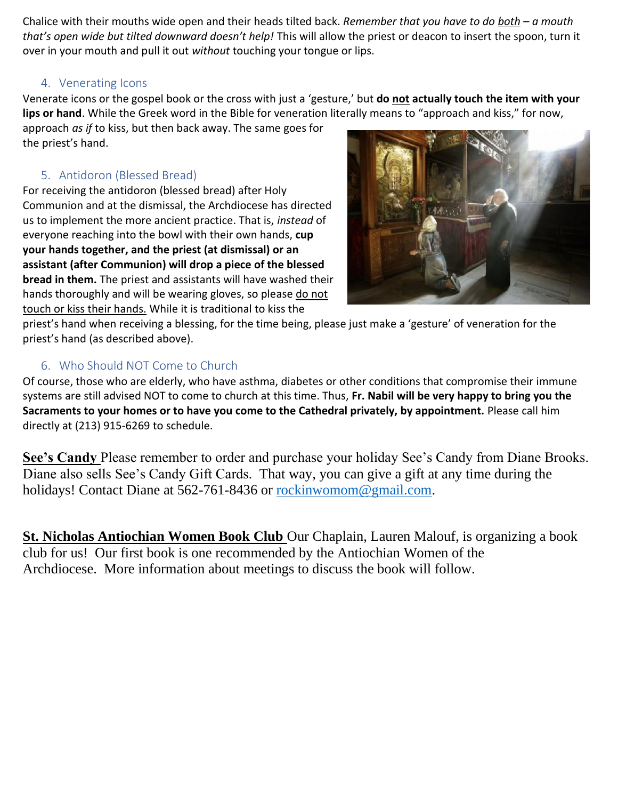Chalice with their mouths wide open and their heads tilted back. *Remember that you have to do both – a mouth that's open wide but tilted downward doesn't help!* This will allow the priest or deacon to insert the spoon, turn it over in your mouth and pull it out *without* touching your tongue or lips.

### 4. Venerating Icons

Venerate icons or the gospel book or the cross with just a 'gesture,' but **do not actually touch the item with your lips or hand**. While the Greek word in the Bible for veneration literally means to "approach and kiss," for now,

approach *as if* to kiss, but then back away. The same goes for the priest's hand.

### 5. Antidoron (Blessed Bread)

For receiving the antidoron (blessed bread) after Holy Communion and at the dismissal, the Archdiocese has directed us to implement the more ancient practice. That is, *instead* of everyone reaching into the bowl with their own hands, **cup your hands together, and the priest (at dismissal) or an assistant (after Communion) will drop a piece of the blessed bread in them.** The priest and assistants will have washed their hands thoroughly and will be wearing gloves, so please do not touch or kiss their hands. While it is traditional to kiss the



priest's hand when receiving a blessing, for the time being, please just make a 'gesture' of veneration for the priest's hand (as described above).

### 6. Who Should NOT Come to Church

Of course, those who are elderly, who have asthma, diabetes or other conditions that compromise their immune systems are still advised NOT to come to church at this time. Thus, **Fr. Nabil will be very happy to bring you the Sacraments to your homes or to have you come to the Cathedral privately, by appointment.** Please call him directly at (213) 915-6269 to schedule.

**See's Candy** Please remember to order and purchase your holiday See's Candy from Diane Brooks. Diane also sells See's Candy Gift Cards. That way, you can give a gift at any time during the holidays! Contact Diane at 562-761-8436 or [rockinwomom@gmail.com.](mailto:rockinwomom@gmail.com)

**St. Nicholas Antiochian Women Book Club** Our Chaplain, Lauren Malouf, is organizing a book club for us! Our first book is one recommended by the Antiochian Women of the Archdiocese. More information about meetings to discuss the book will follow.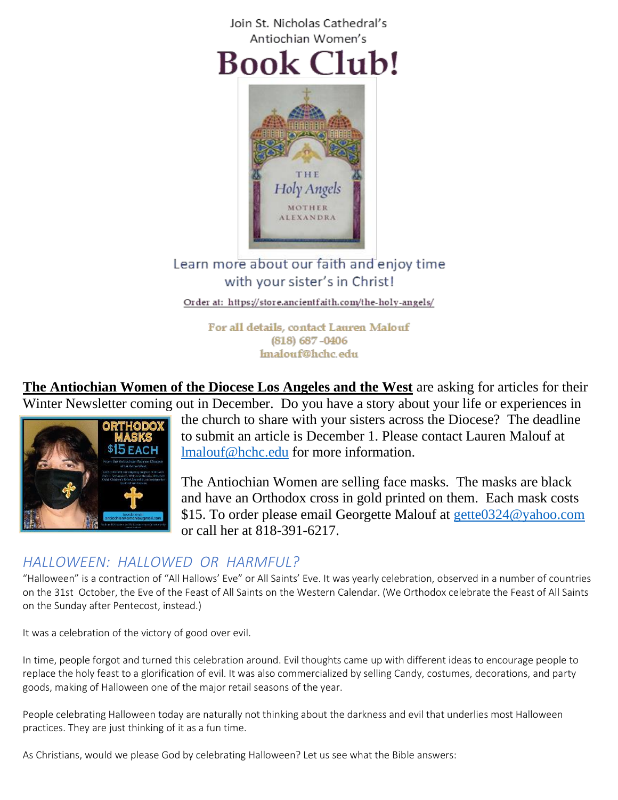



Holy Angels **MOTHER** *IEXANDRA* 

Order at: https://store.ancientfaith.com/the-holy-angels/

For all details, contact Lauren Malouf  $(818)$  687 -0406 lmalouf@hchc.edu

**The Antiochian Women of the Diocese Los Angeles and the West** are asking for articles for their Winter Newsletter coming out in December. Do you have a story about your life or experiences in



the church to share with your sisters across the Diocese? The deadline to submit an article is December 1. Please contact Lauren Malouf at [lmalouf@hchc.edu](mailto:lmalouf@hchc.edu) for more information.

The Antiochian Women are selling face masks. The masks are black and have an Orthodox cross in gold printed on them. Each mask costs \$15. To order please email Georgette Malouf at [gette0324@yahoo.com](mailto:gette0324@yahoo.com) or call her at 818-391-6217.

### *HALLOWEEN: HALLOWED OR HARMFUL?*

"Halloween" is a contraction of "All Hallows' Eve" or All Saints' Eve. It was yearly celebration, observed in a number of countries on the 31st October, the Eve of the Feast of All Saints on the Western Calendar. (We Orthodox celebrate the Feast of All Saints on the Sunday after Pentecost, instead.)

It was a celebration of the victory of good over evil.

In time, people forgot and turned this celebration around. Evil thoughts came up with different ideas to encourage people to replace the holy feast to a glorification of evil. It was also commercialized by selling Candy, costumes, decorations, and party goods, making of Halloween one of the major retail seasons of the year.

People celebrating Halloween today are naturally not thinking about the darkness and evil that underlies most Halloween practices. They are just thinking of it as a fun time.

As Christians, would we please God by celebrating Halloween? Let us see what the Bible answers: